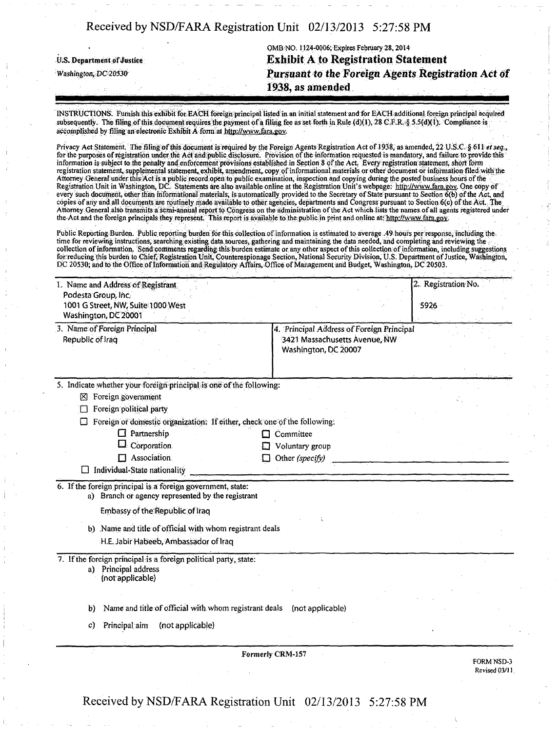## Received by NSD/FARA Registration Unit 02/13/2013 5:27:58 PM

|                                                                                 | OMB NO. 1124-0006; Expires February 28, 2014       |  |  |
|---------------------------------------------------------------------------------|----------------------------------------------------|--|--|
| <b>Exhibit A to Registration Statement</b><br><b>U.S. Department of Justice</b> |                                                    |  |  |
| Washington, DC 20530                                                            | Pursuant to the Foreign Agents Registration Act of |  |  |
|                                                                                 | 1938, as amended                                   |  |  |

INSTRUCTIONS. Furnish this exhibit for EACH foreign principal listed in ah initial statement and for EACH .additional fpreign principal acquired subsequently. The filing of this document requires the payment of a filing fee as set forth in Rule (d)(1), 28 C.F.R,5§ 5.5(d)(i). Compliance is accomplished by filing an electronic Exhibit A form at http:/[/www.fara.gov.](http://www.fara.gov)

Privacy Act Statement. The filing of this document is required by the Foreign Agents Registration Act of 1938, as amended, 22 U.S.C. § 611 et seq., for the purposes of registration under the Act and public disclosure. Provision of the information requested is inandatory,and failure to provide-this information is subject to the penalty and enforcement provisions established in Section 8 of the Act. Every registration statement, short form registration statement, supplemental statement, exhibit, amendment, copy of informational materials or other document or information filed with the Attorney General under this Act is a public record open to public examination, inspection and copying during the posted business hours of the Registration Unit in Washington, DC. Statements are also available online at the Registration Unit's webpage: http://www.fara.gov. One copy of every such document, other than informational materials, is automatically provided to the Secretary of State pursuant to Section 6(b) of the Act, and copies of any and all documents are routinely made available to other agencies, departments and Congress pursuant to Section 6(c) of the Act. The Attorney General also transmits a semi-annual report to Congress on the administration Of the Act which/lists the namesof ail agents registered under the Act and the foreign principals they represent. This report is available to the public in print and online at: http://www.fara.gov.

Public Reporting Burden. Public reporting burden for this collection of information is estimated to average .49 hours per response, including the time for reviewing instructions, searching existing data sources, gathering and maintaining the data needed, and completing and reviewing the collection of information. Send comments regarding this burden estimate or any other aspect of this collection of information, including suggestions for reducing this burden to Chief, Registration Unit, Counterespionage Section, National Security Division, U.S. Department of Justice, Washington, DC 20530; and to the Office of Information and Regulatory Affairs, Office of Management and Budget, Washington, DC20503.

| 1. Name and Address of Registrant                                                                                |                                                                                                    | 2. Registration No. |
|------------------------------------------------------------------------------------------------------------------|----------------------------------------------------------------------------------------------------|---------------------|
| Podesta Group, Inc.<br>1001 G Street, NW, Suite 1000 West<br>Washington, DC 20001                                |                                                                                                    | 5926                |
| 3. Name of Foreign Principal<br>Republic of Iraq                                                                 | 4. Principal Address of Foreign Principal<br>3421 Massachusetts Avenue, NW<br>Washington, DC 20007 |                     |
|                                                                                                                  |                                                                                                    |                     |
| 5. Indicate whether your foreign principal is one of the following:                                              |                                                                                                    |                     |
| $\boxtimes$ Foreign government                                                                                   |                                                                                                    |                     |
| Foreign political party                                                                                          |                                                                                                    |                     |
| Foreign or domestic organization: If either, check one of the following:                                         |                                                                                                    |                     |
| Partnership<br>Œ                                                                                                 | Committee                                                                                          |                     |
| Corporation<br>Association                                                                                       | Voluntary group                                                                                    |                     |
| Individual-State nationality                                                                                     | Other (specify)                                                                                    |                     |
|                                                                                                                  |                                                                                                    |                     |
| 6. If the foreign principal is a foreign government, state:<br>a) Branch or agency represented by the registrant |                                                                                                    |                     |
| Embassy of the Republic of Iraq                                                                                  |                                                                                                    |                     |
| b) Name and title of official with whom registrant deals                                                         |                                                                                                    |                     |
| H.E. Jabir Habeeb, Ambassador of Iraq                                                                            |                                                                                                    |                     |
| 7. If the foreign principal is a foreign political party, state:<br>a) Principal address<br>(not applicable)     |                                                                                                    |                     |
|                                                                                                                  |                                                                                                    |                     |
| Name and title of official with whom registrant deals<br>b)                                                      | (not applicable)                                                                                   |                     |
| Principal aim<br>(not applicable)<br>c)                                                                          |                                                                                                    |                     |
|                                                                                                                  | Formerly CRM-157                                                                                   |                     |

FORM NSD-3 Revised 03/11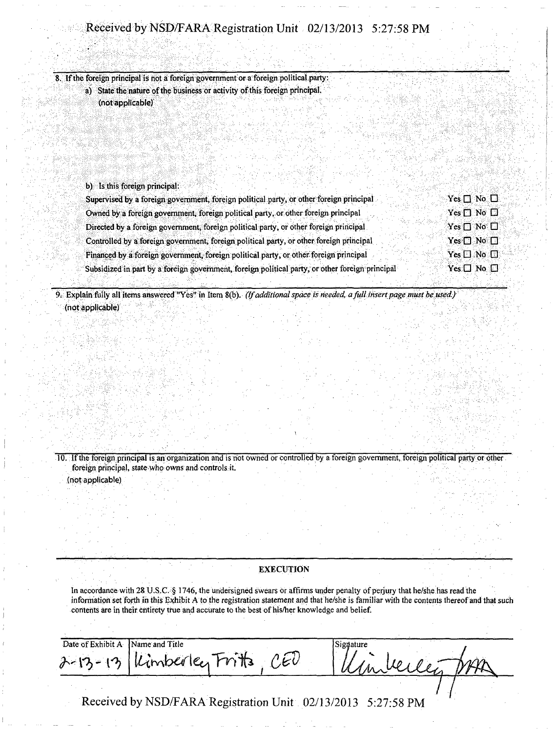# Received by NSD/FARA Registration Unit 02/13/2013 5:27:58 PM

8. If the foreign principal is not a foreign government or a foreign political party: a) State the nature of the business or activity of this foreign principal, (not applicable)

| b) Is this foreign principal:                                                                                         |  |
|-----------------------------------------------------------------------------------------------------------------------|--|
| $Yes \Box No \Box$<br>Supervised by a foreign government, foreign political party, or other foreign principal         |  |
| $Yes \Box No \Box$<br>Owned by a foreign government, foreign political party, or other foreign principal              |  |
| $Yes \Box No \Box$<br>Directed by a foreign government, foreign political party, or other foreign principal           |  |
| $Yes \Box No \Box$<br>Controlled by a foreign government, foreign political party, or other foreign principal         |  |
| $Yes \Box No \Box$<br>Financed by a foreign government, foreign political party, or other foreign principal           |  |
| $Yes \Box No \Box$<br>Subsidized in part by a foreign government, foreign political party, or other foreign principal |  |

9. Explain fully all items answered "Yes" in Item 8(b). (If additional space is needed a fall insert page must be used.) (not applicable)

10. If the foreign principal is an organization and is not owned or controlled by a foreign government, foreign political party or other foreign principal, state who owns and controls it. (not applicable)

### **EXECUTION**

In accordance with 28 U.S.C. § 1746, the undersigned swears or affirms under penalty of perjury that he/she has read the information set forth in this Exhibit A to the registration statement and that he/she is familiar with the contents thereof and that such contents are in their entirety true and accurate to the best of his/her knowledge and belief.

| Date of Exhibit A Name and Title |                              | Signature           |
|----------------------------------|------------------------------|---------------------|
|                                  | 2-13-13 Kimberley Frits, CED | Trep<br>Umbeller D. |
|                                  |                              |                     |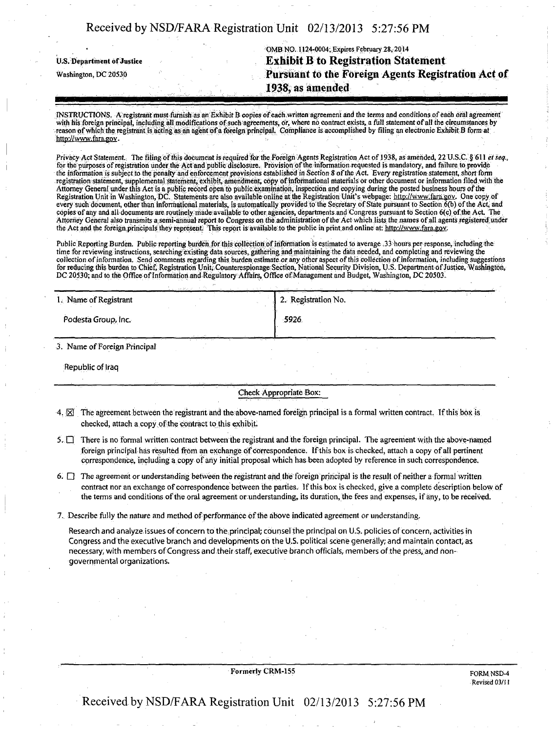### Received by NSD/FARA Registration Unit 02/13/2013 5:27:56 PM

OMB NO. 1124-0004; Expires February 28, 2014 U.S. Department of Justice  $\qquad \qquad$  Exhibit B to Registration Statement Washington, DC 20530 **Kurstianian:** Pursuant to the Foreign Agents Registration Act of 1938, as amended

INSTRUCTIONS. A registrant must furnish as an Exhibit B copies of each written agreement and the terms and conditions of each oral agreement with his foreign principal, including all modifications of such agreements, or, where no contract exists, a full statement of all the circumstances by reason of which the registrant is acting as an agent of a foreign principal. Compliance is accomplished by filingan electronic Exhitit B form at [http://www.fara.gov.](http://www.fara.gov)

Privacy Act Statement. The filing of this document is required for the Foreign Agents Registration Act of 1938, as amended, 22 U.S.C. § 611 ei seq., for the purposes of registration under the Act and public disclosure. Provision of the information requested is mandatory, and failure to provide the information is subject to the penalty and enforcement provisions established in Section 8 of the Act. Every registration statement, short form registration statement, supplemental statement, exhibit, amendment, copy of informational materials or other document or information filed with the Attorney General under this Act is a public record open to public examination, inspection and copying during the posted business hours of the Registration Unit in Washington, DC. Statements are also available online at the Registration Unit's webpage: http://www.fara.gov. One copy of every such document, other than informational materials, is automatically provided to the Secretary of State pursuant to Section 6(b) of the Act, and copies of any and all documents are routinely made available to other agencies, departments and Congress pursuant to Section 6(c) ofthe Act. The Attorney General also transmits a semi-annual report to Congress on the administration of the Act which lists the names of all agents registered under the Act and the foreign principals they represent. This report is available to the public in print and online at: http://www.fara.gov.

Public Reporting Burden. Public reporting burden for this collection of information is estimated to average .33 hours per response, including the time for reviewing instructions, searching existing data sources, gathering and maintaining the data needed, and completing and reviewing the collection of information. Send comments regarding this burden estimate or any other aspect of this collection of information, including suggestions for reducing this burden to Chief, Registration Unit, Counterespionage Section, National Security Division, U.S. Department of Justice, Washington, DC 20530; and to the Office of Information and Regulatory Affairs, Office of Management and Budget, Washington, DC 20503.

| 1. Name of Registrant                                                                                                                                                                                                                                       | 2. Registration No. |  |
|-------------------------------------------------------------------------------------------------------------------------------------------------------------------------------------------------------------------------------------------------------------|---------------------|--|
| Podesta Group, Inc.                                                                                                                                                                                                                                         | -5926               |  |
| in the second state of the second state of the second state of the second state in the second state in the second state in the second state in the second state in the second state in the second state in the second state in<br>come to a series the main |                     |  |

3. Name of Foreign Principal

Republic of Iraq

Check Appropriate Box:

- $4.1\overline{1}$  The agreement between the registrant and the above-named foreign principal is a formal written contract. If this box is checked, attach a copy of the contract to this exhibit.
- 5. D There is no formal written contract between the registrant and the foreign principal. The agreement with the above-named foreign principal has resulted from an exchange of correspondence, if this box is cheeked, attach a copy of ail pertinent correspondence, including a copy of any initial proposal which has been adopted by reference in such correspondence.
- 6.  $\Box$  The agreement or understanding between the registrant and the foreign principal is the result of neither a formal written contract nor an exchange of correspondence between the parties. If this box is checked, give a complete description below of the terms and conditions of the oral agreement orunderstanding, its duration, the fees and expenses, if any, to be received.

7. Describe fully the nature and method of performance of the above indicated agreement or understanding.

Research and analyze issues of concern to the principal; counsel the principal on U.S. policies of concern, activities in Congress and the executive branch and developments oh the U.S. political scene generally; and maintain contact, as necessary, with members of Congress and their staff, executive branch officials, members of the press, and nongovernmental organizations.

Formerly CRM-155 FORM NSD-4

Revised 03/M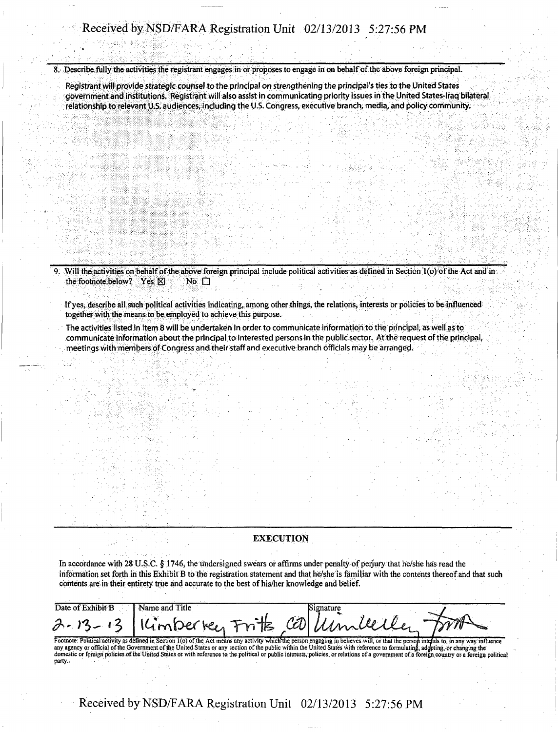### Received by NSD/FARA Registration Unit 02/13/2013 5:27:56 PM

8. Describe fully the activities the registrant engages in or proposes to engage in on behalf of the above foreign principal.

Registrant will provide strategic counsel to the principal on strengthening the principal's ties to the United States government and institutions. Registrant will also assist in communicating priority issues in the United States-Iraq bilateral relationship to relevant U.S. audiences, including the U.S. Congress, executive branch, media, and policy community.

Will the activities on behalf of the above foreign principal include political activities as defined in Section  $I(\mathfrak{o})$  of the Act and in the footnote below? Yes  $\boxtimes$  No  $\Box$ the footnote below? Yes  $\boxtimes$ 

Ifyes, describe all such political activities indicating, among other things, the relations, interests or policies to be influenced together with the means to be employed to achieve this purpose.

The activities listed in Item 8 will be undertaken in order to communicate information to the principal, as well as to communicate information about the principal to interested persons in the public sector. At the request of the principal, meetings with members of Congress and their staff and executive branch officials may be arranged.

#### **EXECUTION**

In accordance with 28 U.S.C. § 1746, the undersigned swears or affirms under penalty of perjury that he/she has read the information set forth in this Exhibit B to the registration statement and that he/she is familiar with the contents thereof and that such contents are in their entirety true and accurate to the best of his/her knowledge and belief.

| Date of Exhibit B | <b>Name and Title</b>                |  |  |
|-------------------|--------------------------------------|--|--|
|                   | 2-13-13 Kimberten Fritz Collimbeller |  |  |

Footnote: Political activity as defined in Section 1(o) of the Act means any activity which the person engaging in believes will, or that the person intends to, in any way influence<br>any agency or official of the Government domestic or foreign policies of the United States or with reference to the political or public interests, policies, or relations of a government of a foreign country or a foreign political party.,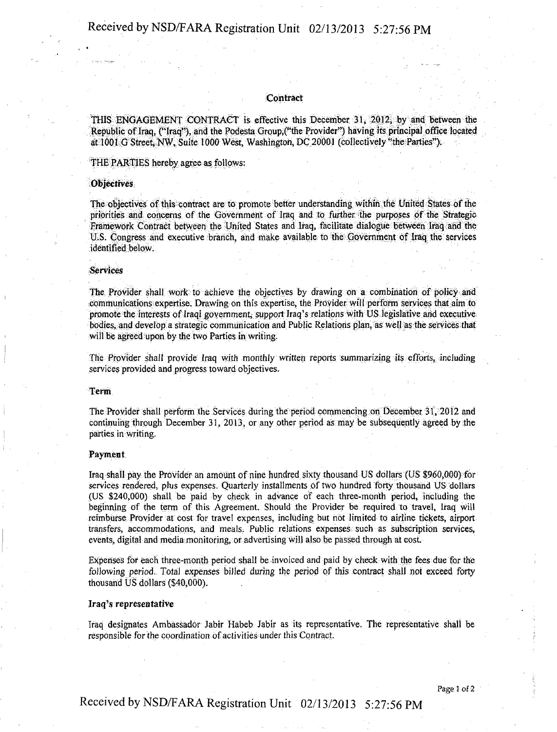#### **Contract**

THIS ENGAGEMENT CONTRACT is effective this December 31, 2012, by and between the Republic of Iraq, ("Iraq"), and the Podesta Group,("the Provider") having its principal office located at 1001 G Street, NW, Suite 1000 West, Washington, DC 20001 (collectively "the Parties").

#### THE PARTIES hereby agree as follows:

#### **Objectives**

The objectives of this contract are to promote better understanding within the United States of the priorities and concerns of the Government of Iraq and to further, the purposes of the Strategic Framework Contract between the United States and Iraq, facilitate dialogue between Iraq and the U.S. Congress and executive branch, and make available to the Government of Iraq the services identified below.

#### Services.

The Provider shall work to achieve the objectives by drawing on a combination of policy and communications expertise. Drawing on this expertise, the Provider will perform services that aim to promote the interests of Iraqi government, support Iraq's relations with US legislative and executive bodies, and develop a strategic communication and Public Relations plan, as well as the services that will be agreed upon by the two Parties in writing.

The Provider shall provide Iraq with monthly written reports summarizing it? efforts,: including services provided and progress toward objectives.

#### Term

The Provider shall perform the Services during the period commencing on December 31, 2012 and continuing through December 31, 2013, or any other period as may be subsequently agreed by the parties in writing.

#### Payment

Iraq shall pay the Provider an amount of nine hundred sixty thousand US dollars (US \$960,000) for services rendered, plus expenses. Quarterly installments of two hundred forty thousand US dollars (US \$240,000) shall be paid by cheek in advance of each three-month period, including the beginning of the term of this Agreement. Should the Provider be required to travel, Iraq Will reimburse Provider at cost for travel expenses, including but not limited to airline tickets, airport transfers, accommodations, and meals. Public relations expenses: such as subscription services, events, digital and media monitoring, or advertising will also be passed through at cost.

Expenses for each three-month period shall be invoiced and paid by check with the fees due for the following period. Total expenses billed during the period of this contract shall not exceed forty thousand US dollars (\$40,000).

#### Iraq's representative

Iraq designates Ambassador Jabir Habeb Jabir as its representative. The representative shall be responsible for the coordination of activities under this Contract.

Page 1 of 2